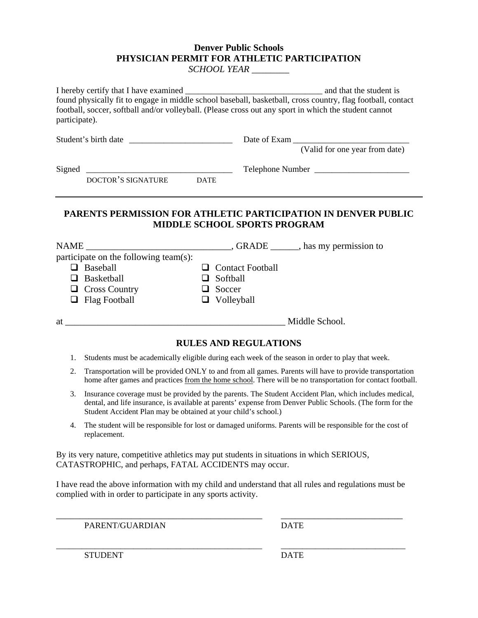## **Denver Public Schools PHYSICIAN PERMIT FOR ATHLETIC PARTICIPATION**

*SCHOOL YEAR \_\_\_\_\_\_\_\_* 

| found physically fit to engage in middle school baseball, basketball, cross country, flag football, contact<br>football, soccer, softball and/or volleyball. (Please cross out any sport in which the student cannot<br>participate). |  |                                             |                  |
|---------------------------------------------------------------------------------------------------------------------------------------------------------------------------------------------------------------------------------------|--|---------------------------------------------|------------------|
|                                                                                                                                                                                                                                       |  | Date of Exam (Valid for one year from date) |                  |
|                                                                                                                                                                                                                                       |  |                                             |                  |
|                                                                                                                                                                                                                                       |  |                                             | Telephone Number |
| DOCTOR'S SIGNATURE DATE                                                                                                                                                                                                               |  |                                             |                  |
| participate on the following team(s):                                                                                                                                                                                                 |  | <b>MIDDLE SCHOOL SPORTS PROGRAM</b>         |                  |
| $\Box$ Baseball                                                                                                                                                                                                                       |  | <b>Contact Football</b>                     |                  |
| $\Box$ Basketball                                                                                                                                                                                                                     |  | Softball                                    |                  |
| $\Box$ Cross Country                                                                                                                                                                                                                  |  | Soccer                                      |                  |
| $\Box$ Flag Football                                                                                                                                                                                                                  |  | $\Box$ Volleyball                           |                  |
|                                                                                                                                                                                                                                       |  |                                             |                  |
|                                                                                                                                                                                                                                       |  | <b>RULES AND REGULATIONS</b>                |                  |

- 1. Students must be academically eligible during each week of the season in order to play that week.
- 2. Transportation will be provided ONLY to and from all games. Parents will have to provide transportation home after games and practices from the home school. There will be no transportation for contact football.
- 3. Insurance coverage must be provided by the parents. The Student Accident Plan, which includes medical, dental, and life insurance, is available at parents' expense from Denver Public Schools. (The form for the Student Accident Plan may be obtained at your child's school.)
- 4. The student will be responsible for lost or damaged uniforms. Parents will be responsible for the cost of replacement.

By its very nature, competitive athletics may put students in situations in which SERIOUS, CATASTROPHIC, and perhaps, FATAL ACCIDENTS may occur.

I have read the above information with my child and understand that all rules and regulations must be complied with in order to participate in any sports activity.

\_\_\_\_\_\_\_\_\_\_\_\_\_\_\_\_\_\_\_\_\_\_\_\_\_\_\_\_\_\_\_\_\_\_\_\_\_\_\_\_\_\_\_\_ \_\_\_\_\_\_\_\_\_\_\_\_\_\_\_\_\_\_\_\_\_\_\_\_\_\_

\_\_\_\_\_\_\_\_\_\_\_\_\_\_\_\_\_\_\_\_\_\_\_\_\_\_\_\_\_\_\_\_\_\_\_\_\_\_\_\_\_\_\_\_\_\_\_\_ \_\_\_\_\_\_\_\_\_\_\_\_\_\_\_\_\_\_\_\_\_\_\_\_\_\_\_\_\_

PARENT/GUARDIAN DATE

STUDENT DATE